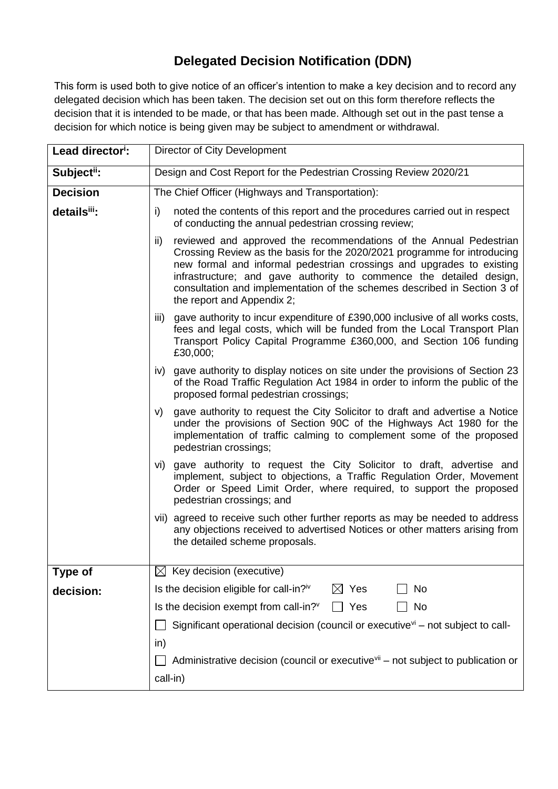## **Delegated Decision Notification (DDN)**

This form is used both to give notice of an officer's intention to make a key decision and to record any delegated decision which has been taken. The decision set out on this form therefore reflects the decision that it is intended to be made, or that has been made. Although set out in the past tense a decision for which notice is being given may be subject to amendment or withdrawal.

| Lead director <sup>i</sup> : | Director of City Development                                                                                                                                                                                                                                                                                                                                                                                                                                                                                                                                                                                                                                                                                                                                                                                          |  |  |  |
|------------------------------|-----------------------------------------------------------------------------------------------------------------------------------------------------------------------------------------------------------------------------------------------------------------------------------------------------------------------------------------------------------------------------------------------------------------------------------------------------------------------------------------------------------------------------------------------------------------------------------------------------------------------------------------------------------------------------------------------------------------------------------------------------------------------------------------------------------------------|--|--|--|
| Subject <sup>ii</sup> :      | Design and Cost Report for the Pedestrian Crossing Review 2020/21                                                                                                                                                                                                                                                                                                                                                                                                                                                                                                                                                                                                                                                                                                                                                     |  |  |  |
| <b>Decision</b>              | The Chief Officer (Highways and Transportation):                                                                                                                                                                                                                                                                                                                                                                                                                                                                                                                                                                                                                                                                                                                                                                      |  |  |  |
| detailsiii:                  | noted the contents of this report and the procedures carried out in respect<br>i)<br>of conducting the annual pedestrian crossing review;<br>reviewed and approved the recommendations of the Annual Pedestrian<br>ii)<br>Crossing Review as the basis for the 2020/2021 programme for introducing<br>new formal and informal pedestrian crossings and upgrades to existing<br>infrastructure; and gave authority to commence the detailed design,<br>consultation and implementation of the schemes described in Section 3 of<br>the report and Appendix 2;<br>iii)<br>gave authority to incur expenditure of £390,000 inclusive of all works costs,<br>fees and legal costs, which will be funded from the Local Transport Plan<br>Transport Policy Capital Programme £360,000, and Section 106 funding<br>£30,000; |  |  |  |
|                              |                                                                                                                                                                                                                                                                                                                                                                                                                                                                                                                                                                                                                                                                                                                                                                                                                       |  |  |  |
|                              |                                                                                                                                                                                                                                                                                                                                                                                                                                                                                                                                                                                                                                                                                                                                                                                                                       |  |  |  |
|                              | iv) gave authority to display notices on site under the provisions of Section 23<br>of the Road Traffic Regulation Act 1984 in order to inform the public of the<br>proposed formal pedestrian crossings;                                                                                                                                                                                                                                                                                                                                                                                                                                                                                                                                                                                                             |  |  |  |
|                              | gave authority to request the City Solicitor to draft and advertise a Notice<br>V)<br>under the provisions of Section 90C of the Highways Act 1980 for the<br>implementation of traffic calming to complement some of the proposed<br>pedestrian crossings;                                                                                                                                                                                                                                                                                                                                                                                                                                                                                                                                                           |  |  |  |
|                              | vi) gave authority to request the City Solicitor to draft, advertise and<br>implement, subject to objections, a Traffic Regulation Order, Movement<br>Order or Speed Limit Order, where required, to support the proposed<br>pedestrian crossings; and                                                                                                                                                                                                                                                                                                                                                                                                                                                                                                                                                                |  |  |  |
|                              | vii) agreed to receive such other further reports as may be needed to address<br>any objections received to advertised Notices or other matters arising from<br>the detailed scheme proposals.                                                                                                                                                                                                                                                                                                                                                                                                                                                                                                                                                                                                                        |  |  |  |
| <b>Type of</b>               | Key decision (executive)<br>IХI                                                                                                                                                                                                                                                                                                                                                                                                                                                                                                                                                                                                                                                                                                                                                                                       |  |  |  |
| decision:                    | Is the decision eligible for call-in? <sup>iv</sup><br>Yes<br>No<br>$\bowtie$                                                                                                                                                                                                                                                                                                                                                                                                                                                                                                                                                                                                                                                                                                                                         |  |  |  |
|                              | Is the decision exempt from call-in?"<br>Yes<br>No                                                                                                                                                                                                                                                                                                                                                                                                                                                                                                                                                                                                                                                                                                                                                                    |  |  |  |
|                              | Significant operational decision (council or executive $v_i$ – not subject to call-                                                                                                                                                                                                                                                                                                                                                                                                                                                                                                                                                                                                                                                                                                                                   |  |  |  |
|                              | in)                                                                                                                                                                                                                                                                                                                                                                                                                                                                                                                                                                                                                                                                                                                                                                                                                   |  |  |  |
|                              | Administrative decision (council or executive <sup>vii</sup> – not subject to publication or                                                                                                                                                                                                                                                                                                                                                                                                                                                                                                                                                                                                                                                                                                                          |  |  |  |
|                              | call-in)                                                                                                                                                                                                                                                                                                                                                                                                                                                                                                                                                                                                                                                                                                                                                                                                              |  |  |  |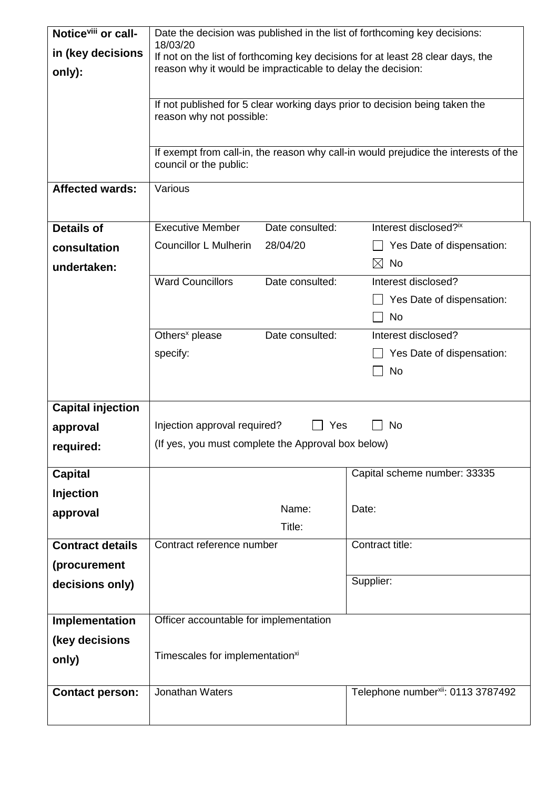| Notice <sup>viii</sup> or call- | Date the decision was published in the list of forthcoming key decisions:                                     |                 |                                                |  |
|---------------------------------|---------------------------------------------------------------------------------------------------------------|-----------------|------------------------------------------------|--|
| in (key decisions               | 18/03/20<br>If not on the list of forthcoming key decisions for at least 28 clear days, the                   |                 |                                                |  |
| only):                          | reason why it would be impracticable to delay the decision:                                                   |                 |                                                |  |
|                                 |                                                                                                               |                 |                                                |  |
|                                 | If not published for 5 clear working days prior to decision being taken the                                   |                 |                                                |  |
|                                 | reason why not possible:                                                                                      |                 |                                                |  |
|                                 |                                                                                                               |                 |                                                |  |
|                                 | If exempt from call-in, the reason why call-in would prejudice the interests of the<br>council or the public: |                 |                                                |  |
| <b>Affected wards:</b>          | Various                                                                                                       |                 |                                                |  |
|                                 |                                                                                                               |                 |                                                |  |
| <b>Details of</b>               | <b>Executive Member</b>                                                                                       | Date consulted: | Interest disclosed?ix                          |  |
| consultation                    | <b>Councillor L Mulherin</b>                                                                                  | 28/04/20        | Yes Date of dispensation:                      |  |
| undertaken:                     |                                                                                                               |                 | No<br>$\bowtie$                                |  |
|                                 | <b>Ward Councillors</b>                                                                                       | Date consulted: | Interest disclosed?                            |  |
|                                 |                                                                                                               |                 | Yes Date of dispensation:                      |  |
|                                 |                                                                                                               |                 | <b>No</b>                                      |  |
|                                 | Others <sup>x</sup> please                                                                                    | Date consulted: | Interest disclosed?                            |  |
|                                 | specify:                                                                                                      |                 | Yes Date of dispensation:                      |  |
|                                 |                                                                                                               |                 | No                                             |  |
|                                 |                                                                                                               |                 |                                                |  |
| <b>Capital injection</b>        |                                                                                                               |                 |                                                |  |
| approval                        | Injection approval required?<br>Yes<br>No                                                                     |                 |                                                |  |
| required:                       | (If yes, you must complete the Approval box below)                                                            |                 |                                                |  |
|                                 |                                                                                                               |                 |                                                |  |
| <b>Capital</b>                  |                                                                                                               |                 | Capital scheme number: 33335                   |  |
| <b>Injection</b>                |                                                                                                               |                 |                                                |  |
| approval                        |                                                                                                               | Name:           | Date:                                          |  |
|                                 |                                                                                                               | Title:          |                                                |  |
| <b>Contract details</b>         | Contract reference number                                                                                     |                 | Contract title:                                |  |
| (procurement                    |                                                                                                               |                 |                                                |  |
| decisions only)                 |                                                                                                               |                 | Supplier:                                      |  |
|                                 |                                                                                                               |                 |                                                |  |
| Implementation                  | Officer accountable for implementation                                                                        |                 |                                                |  |
| (key decisions                  |                                                                                                               |                 |                                                |  |
| only)                           | Timescales for implementation <sup>xi</sup>                                                                   |                 |                                                |  |
|                                 |                                                                                                               |                 |                                                |  |
| <b>Contact person:</b>          | Jonathan Waters                                                                                               |                 | Telephone number <sup>xii</sup> : 0113 3787492 |  |
|                                 |                                                                                                               |                 |                                                |  |